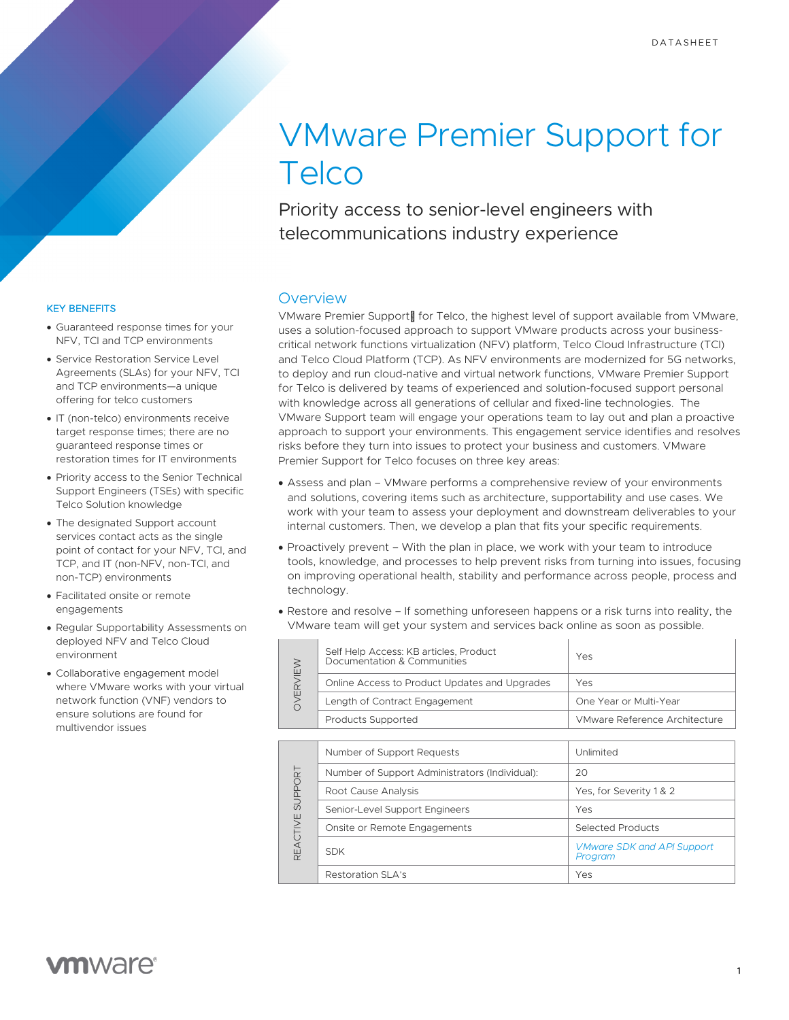# VMware Premier Support for **Telco**

Priority access to senior-level engineers with telecommunications industry experience

### KEY BENEFITS

- Guaranteed response times for your NFV, TCI and TCP environments
- Service Restoration Service Level Agreements (SLAs) for your NFV, TCI and TCP environments—a unique offering for telco customers
- IT (non-telco) environments receive target response times; there are no guaranteed response times or restoration times for IT environments
- Priority access to the Senior Technical Support Engineers (TSEs) with specific Telco Solution knowledge
- The designated Support account services contact acts as the single point of contact for your NFV, TCI, and TCP, and IT (non-NFV, non-TCI, and non-TCP) environments
- Facilitated onsite or remote engagements
- Regular Supportability Assessments on deployed NFV and Telco Cloud environment
- Collaborative engagement model where VMware works with your virtual network function (VNF) vendors to ensure solutions are found for multivendor issues

### **Overview**

VMware Premier Support<sup>TM</sup> for Telco, the highest level of support available from VMware, uses a solution-focused approach to support VMware products across your businesscritical network functions virtualization (NFV) platform, Telco Cloud Infrastructure (TCI) and Telco Cloud Platform (TCP). As NFV environments are modernized for 5G networks, to deploy and run cloud-native and virtual network functions, VMware Premier Support for Telco is delivered by teams of experienced and solution-focused support personal with knowledge across all generations of cellular and fixed-line technologies. The VMware Support team will engage your operations team to lay out and plan a proactive approach to support your environments. This engagement service identifies and resolves risks before they turn into issues to protect your business and customers. VMware Premier Support for Telco focuses on three key areas:

- Assess and plan VMware performs a comprehensive review of your environments and solutions, covering items such as architecture, supportability and use cases. We work with your team to assess your deployment and downstream deliverables to your internal customers. Then, we develop a plan that fits your specific requirements.
- Proactively prevent With the plan in place, we work with your team to introduce tools, knowledge, and processes to help prevent risks from turning into issues, focusing on improving operational health, stability and performance across people, process and technology.
- Restore and resolve If something unforeseen happens or a risk turns into reality, the VMware team will get your system and services back online as soon as possible.

|  | Self Help Access: KB articles, Product<br>Documentation & Communities | Yes                           |
|--|-----------------------------------------------------------------------|-------------------------------|
|  | Online Access to Product Updates and Upgrades                         | Yes                           |
|  | Length of Contract Engagement                                         | One Year or Multi-Year        |
|  | <b>Products Supported</b>                                             | VMware Reference Architecture |
|  |                                                                       |                               |

| SUPPORT<br><b>REACTIVE</b> | Number of Support Requests                     | Unlimited                                    |
|----------------------------|------------------------------------------------|----------------------------------------------|
|                            | Number of Support Administrators (Individual): | 20                                           |
|                            | Root Cause Analysis                            | Yes, for Severity 1 & 2                      |
|                            | Senior-Level Support Engineers                 | Yes                                          |
|                            | Onsite or Remote Engagements                   | Selected Products                            |
|                            | <b>SDK</b>                                     | <b>VMware SDK and API Support</b><br>Program |
|                            | Restoration SLA's                              | Yes                                          |

## **vm**ware<sup>®</sup>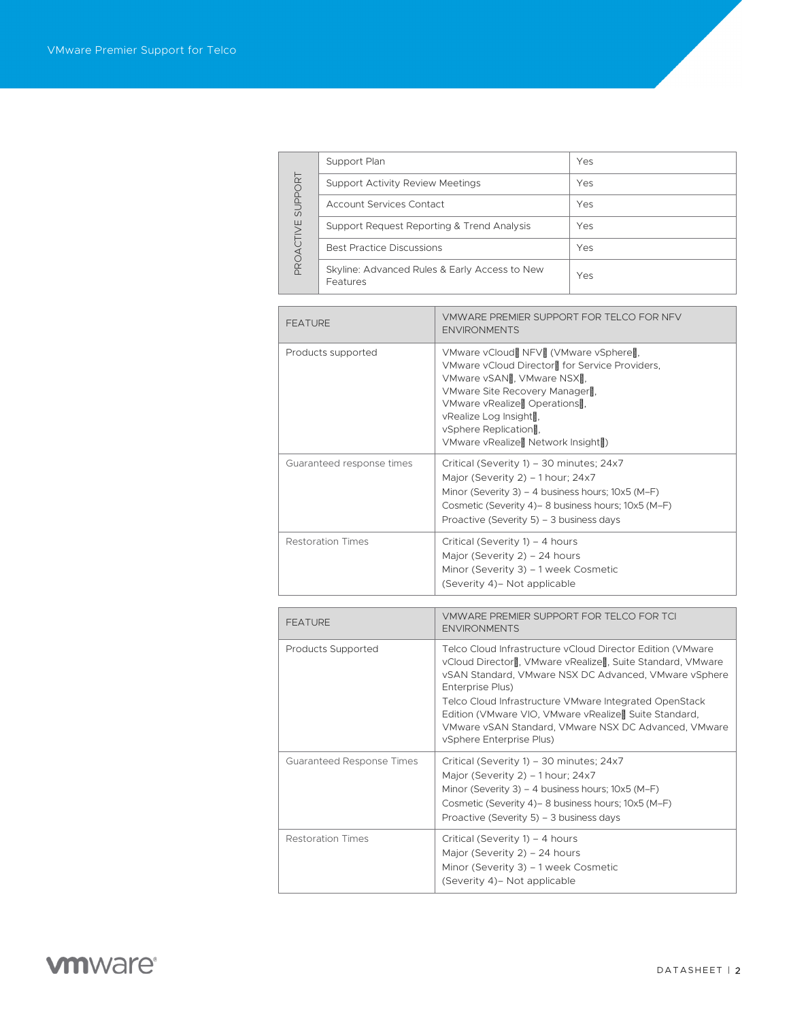| SUPPORT<br>PROACTIVE | Support Plan                                              | Yes |
|----------------------|-----------------------------------------------------------|-----|
|                      | <b>Support Activity Review Meetings</b>                   | Yes |
|                      | Account Services Contact                                  | Yes |
|                      | Support Request Reporting & Trend Analysis                | Yes |
|                      | <b>Best Practice Discussions</b>                          | Yes |
|                      | Skyline: Advanced Rules & Early Access to New<br>Features | Yes |

| <b>FEATURE</b>            | VMWARE PREMIER SUPPORT FOR TELCO FOR NEV<br><b>FNVIRONMENTS</b>                                                                                                                                                                                                                                                       |  |
|---------------------------|-----------------------------------------------------------------------------------------------------------------------------------------------------------------------------------------------------------------------------------------------------------------------------------------------------------------------|--|
| Products supported        | VMware vCloud™NFV™VMware vSphere™<br>VMware vCloud Director™for Service Providers,<br>VMware vSANT <sup>M</sup> VMware NSXT <sup>M</sup><br>VMware Site Recovery Manager <sup>™</sup><br>VMware vRealize™Operations <sup>™</sup><br>vRealize Log Insight™<br>vSphere Replication™<br>VMware vRealize™Network Insight™ |  |
| Guaranteed response times | Critical (Severity 1) – 30 minutes; 24x7<br>Major (Severity 2) – 1 hour; 24x7<br>Minor (Severity 3) – 4 business hours; 10x5 (M-F)<br>Cosmetic (Severity 4) - 8 business hours; 10x5 (M-F)<br>Proactive (Severity 5) – 3 business days                                                                                |  |
| <b>Restoration Times</b>  | Critical (Severity 1) – 4 hours<br>Major (Severity 2) - 24 hours<br>Minor (Severity 3) - 1 week Cosmetic<br>(Severity 4) - Not applicable                                                                                                                                                                             |  |

| <b>FEATURE</b>            | VMWARE PREMIER SUPPORT FOR TELCO FOR TCL<br><b>ENVIRONMENTS</b>                                                                                                                                                                                                                                                                                                                                                                                     |
|---------------------------|-----------------------------------------------------------------------------------------------------------------------------------------------------------------------------------------------------------------------------------------------------------------------------------------------------------------------------------------------------------------------------------------------------------------------------------------------------|
| Products Supported        | Telco Cloud Infrastructure vCloud Director Edition (VMware<br>vCloud Director <sup>™</sup> , VMware vRealize <sup>™</sup> , Suite Standard, VMware<br>vSAN Standard, VMware NSX DC Advanced, VMware vSphere<br>Enterprise Plus)<br>Telco Cloud Infrastructure VMware Integrated OpenStack<br>Edition (VMware VIO, VMware vRealize <sup>TM</sup> Suite Standard,<br>VMware vSAN Standard, VMware NSX DC Advanced, VMware<br>vSphere Enterprise Plus) |
| Guaranteed Response Times | Critical (Severity 1) – 30 minutes; 24x7<br>Major (Severity 2) – 1 hour; 24x7<br>Minor (Severity 3) – 4 business hours; $10x5$ (M-F)<br>Cosmetic (Severity 4) - 8 business hours; 10x5 (M-F)<br>Proactive (Severity 5) – 3 business days                                                                                                                                                                                                            |
| <b>Restoration Times</b>  | Critical (Severity 1) – 4 hours<br>Major (Severity $2$ ) – 24 hours<br>Minor (Severity 3) – 1 week Cosmetic<br>(Severity 4) – Not applicable                                                                                                                                                                                                                                                                                                        |

# **vmware**<sup>®</sup>